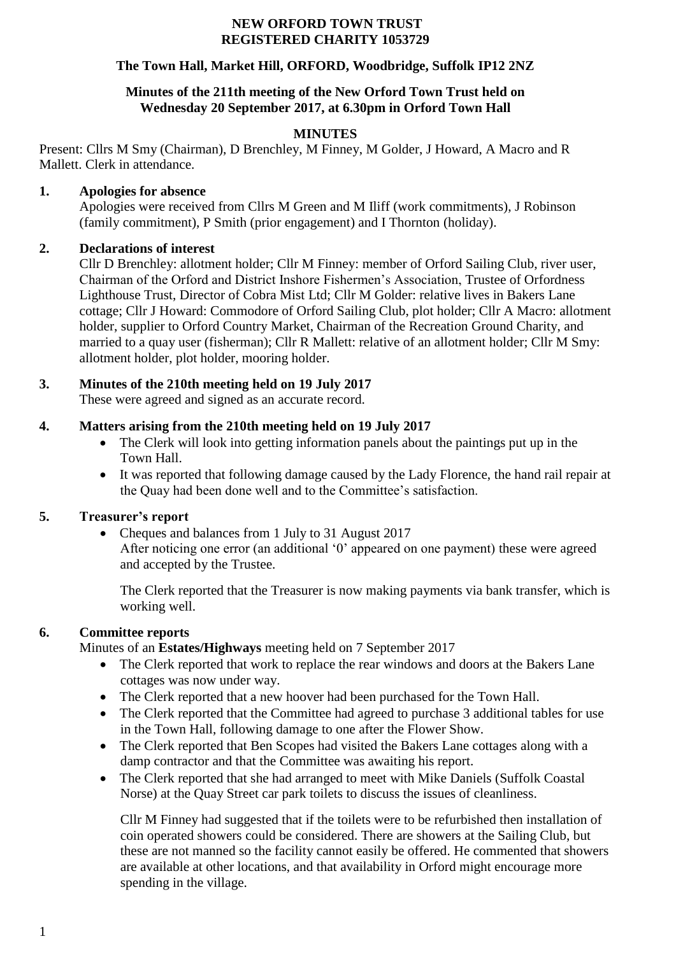#### **NEW ORFORD TOWN TRUST REGISTERED CHARITY 1053729**

### **The Town Hall, Market Hill, ORFORD, Woodbridge, Suffolk IP12 2NZ**

#### **Minutes of the 211th meeting of the New Orford Town Trust held on Wednesday 20 September 2017, at 6.30pm in Orford Town Hall**

#### **MINUTES**

Present: Cllrs M Smy (Chairman), D Brenchley, M Finney, M Golder, J Howard, A Macro and R Mallett. Clerk in attendance.

#### **1. Apologies for absence**

Apologies were received from Cllrs M Green and M Iliff (work commitments), J Robinson (family commitment), P Smith (prior engagement) and I Thornton (holiday).

### **2. Declarations of interest**

Cllr D Brenchley: allotment holder; Cllr M Finney: member of Orford Sailing Club, river user, Chairman of the Orford and District Inshore Fishermen's Association, Trustee of Orfordness Lighthouse Trust, Director of Cobra Mist Ltd; Cllr M Golder: relative lives in Bakers Lane cottage; Cllr J Howard: Commodore of Orford Sailing Club, plot holder; Cllr A Macro: allotment holder, supplier to Orford Country Market, Chairman of the Recreation Ground Charity, and married to a quay user (fisherman); Cllr R Mallett: relative of an allotment holder; Cllr M Smy: allotment holder, plot holder, mooring holder.

## **3. Minutes of the 210th meeting held on 19 July 2017**

These were agreed and signed as an accurate record.

### **4. Matters arising from the 210th meeting held on 19 July 2017**

- The Clerk will look into getting information panels about the paintings put up in the Town Hall.
- It was reported that following damage caused by the Lady Florence, the hand rail repair at the Quay had been done well and to the Committee's satisfaction.

### **5. Treasurer's report**

• Cheques and balances from 1 July to 31 August 2017 After noticing one error (an additional '0' appeared on one payment) these were agreed and accepted by the Trustee.

The Clerk reported that the Treasurer is now making payments via bank transfer, which is working well.

### **6. Committee reports**

Minutes of an **Estates/Highways** meeting held on 7 September 2017

- The Clerk reported that work to replace the rear windows and doors at the Bakers Lane cottages was now under way.
- The Clerk reported that a new hoover had been purchased for the Town Hall.
- The Clerk reported that the Committee had agreed to purchase 3 additional tables for use in the Town Hall, following damage to one after the Flower Show.
- The Clerk reported that Ben Scopes had visited the Bakers Lane cottages along with a damp contractor and that the Committee was awaiting his report.
- The Clerk reported that she had arranged to meet with Mike Daniels (Suffolk Coastal Norse) at the Quay Street car park toilets to discuss the issues of cleanliness.

Cllr M Finney had suggested that if the toilets were to be refurbished then installation of coin operated showers could be considered. There are showers at the Sailing Club, but these are not manned so the facility cannot easily be offered. He commented that showers are available at other locations, and that availability in Orford might encourage more spending in the village.